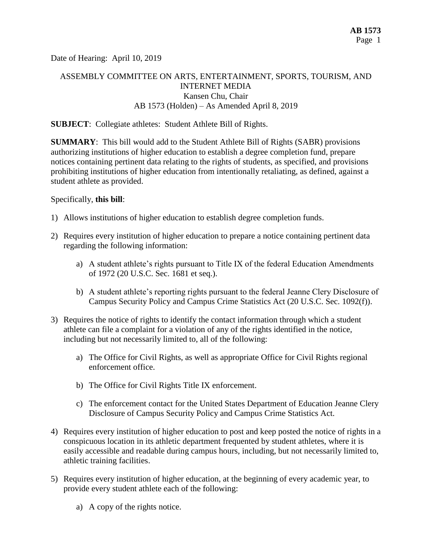Date of Hearing: April 10, 2019

# ASSEMBLY COMMITTEE ON ARTS, ENTERTAINMENT, SPORTS, TOURISM, AND INTERNET MEDIA Kansen Chu, Chair AB 1573 (Holden) – As Amended April 8, 2019

#### **SUBJECT**: Collegiate athletes: Student Athlete Bill of Rights.

**SUMMARY**: This bill would add to the Student Athlete Bill of Rights (SABR) provisions authorizing institutions of higher education to establish a degree completion fund, prepare notices containing pertinent data relating to the rights of students, as specified, and provisions prohibiting institutions of higher education from intentionally retaliating, as defined, against a student athlete as provided.

#### Specifically, **this bill**:

- 1) Allows institutions of higher education to establish degree completion funds.
- 2) Requires every institution of higher education to prepare a notice containing pertinent data regarding the following information:
	- a) A student athlete's rights pursuant to Title IX of the federal Education Amendments of 1972 (20 U.S.C. Sec. 1681 et seq.).
	- b) A student athlete's reporting rights pursuant to the federal Jeanne Clery Disclosure of Campus Security Policy and Campus Crime Statistics Act (20 U.S.C. Sec. 1092(f)).
- 3) Requires the notice of rights to identify the contact information through which a student athlete can file a complaint for a violation of any of the rights identified in the notice, including but not necessarily limited to, all of the following:
	- a) The Office for Civil Rights, as well as appropriate Office for Civil Rights regional enforcement office.
	- b) The Office for Civil Rights Title IX enforcement.
	- c) The enforcement contact for the United States Department of Education Jeanne Clery Disclosure of Campus Security Policy and Campus Crime Statistics Act.
- 4) Requires every institution of higher education to post and keep posted the notice of rights in a conspicuous location in its athletic department frequented by student athletes, where it is easily accessible and readable during campus hours, including, but not necessarily limited to, athletic training facilities.
- 5) Requires every institution of higher education, at the beginning of every academic year, to provide every student athlete each of the following:
	- a) A copy of the rights notice.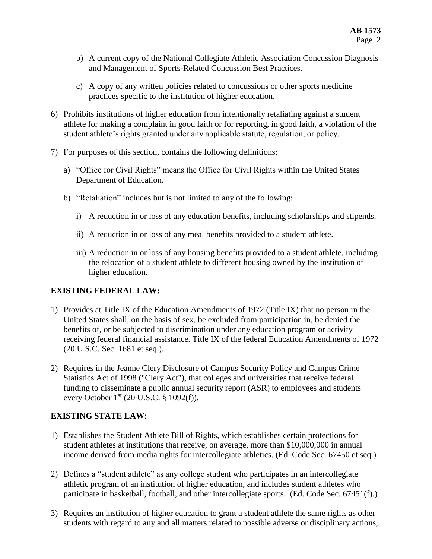- b) A current copy of the National Collegiate Athletic Association Concussion Diagnosis and Management of Sports-Related Concussion Best Practices.
- c) A copy of any written policies related to concussions or other sports medicine practices specific to the institution of higher education.
- 6) Prohibits institutions of higher education from intentionally retaliating against a student athlete for making a complaint in good faith or for reporting, in good faith, a violation of the student athlete's rights granted under any applicable statute, regulation, or policy.
- 7) For purposes of this section, contains the following definitions:
	- a) "Office for Civil Rights" means the Office for Civil Rights within the United States Department of Education.
	- b) "Retaliation" includes but is not limited to any of the following:
		- i) A reduction in or loss of any education benefits, including scholarships and stipends.
		- ii) A reduction in or loss of any meal benefits provided to a student athlete.
		- iii) A reduction in or loss of any housing benefits provided to a student athlete, including the relocation of a student athlete to different housing owned by the institution of higher education.

## **EXISTING FEDERAL LAW:**

- 1) Provides at Title IX of the Education Amendments of 1972 (Title IX) that no person in the United States shall, on the basis of sex, be excluded from participation in, be denied the benefits of, or be subjected to discrimination under any education program or activity receiving federal financial assistance. Title IX of the federal Education Amendments of 1972 (20 U.S.C. Sec. 1681 et seq.).
- 2) Requires in the Jeanne Clery Disclosure of Campus Security Policy and Campus Crime Statistics Act of 1998 ("Clery Act"), that colleges and universities that receive federal funding to disseminate a public annual security report (ASR) to employees and students every October  $1^{st}$  (20 U.S.C. § 1092(f)).

## **EXISTING STATE LAW**:

- 1) Establishes the Student Athlete Bill of Rights, which establishes certain protections for student athletes at institutions that receive, on average, more than \$10,000,000 in annual income derived from media rights for intercollegiate athletics. (Ed. Code Sec. 67450 et seq.)
- 2) Defines a "student athlete" as any college student who participates in an intercollegiate athletic program of an institution of higher education, and includes student athletes who participate in basketball, football, and other intercollegiate sports. (Ed. Code Sec. 67451(f).)
- 3) Requires an institution of higher education to grant a student athlete the same rights as other students with regard to any and all matters related to possible adverse or disciplinary actions,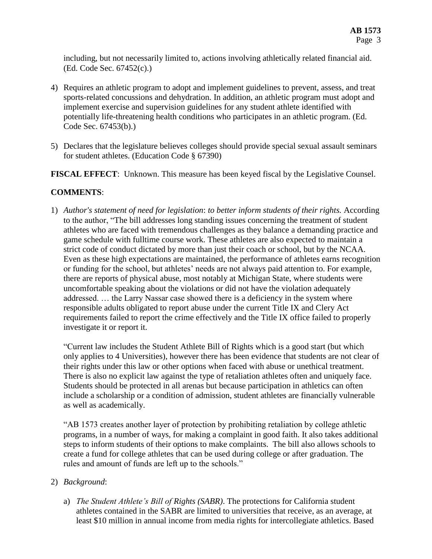including, but not necessarily limited to, actions involving athletically related financial aid. (Ed. Code Sec. 67452(c).)

- 4) Requires an athletic program to adopt and implement guidelines to prevent, assess, and treat sports-related concussions and dehydration. In addition, an athletic program must adopt and implement exercise and supervision guidelines for any student athlete identified with potentially life-threatening health conditions who participates in an athletic program. (Ed. Code Sec. 67453(b).)
- 5) Declares that the legislature believes colleges should provide special sexual assault seminars for student athletes. (Education Code § 67390)

**FISCAL EFFECT**: Unknown. This measure has been keyed fiscal by the Legislative Counsel.

## **COMMENTS**:

1) *Author's statement of need for legislation*: *to better inform students of their rights.* According to the author, "The bill addresses long standing issues concerning the treatment of student athletes who are faced with tremendous challenges as they balance a demanding practice and game schedule with fulltime course work. These athletes are also expected to maintain a strict code of conduct dictated by more than just their coach or school, but by the NCAA. Even as these high expectations are maintained, the performance of athletes earns recognition or funding for the school, but athletes' needs are not always paid attention to. For example, there are reports of physical abuse, most notably at Michigan State, where students were uncomfortable speaking about the violations or did not have the violation adequately addressed. … the Larry Nassar case showed there is a deficiency in the system where responsible adults obligated to report abuse under the current Title IX and Clery Act requirements failed to report the crime effectively and the Title IX office failed to properly investigate it or report it.

"Current law includes the Student Athlete Bill of Rights which is a good start (but which only applies to 4 Universities), however there has been evidence that students are not clear of their rights under this law or other options when faced with abuse or unethical treatment. There is also no explicit law against the type of retaliation athletes often and uniquely face. Students should be protected in all arenas but because participation in athletics can often include a scholarship or a condition of admission, student athletes are financially vulnerable as well as academically.

"AB 1573 creates another layer of protection by prohibiting retaliation by college athletic programs, in a number of ways, for making a complaint in good faith. It also takes additional steps to inform students of their options to make complaints. The bill also allows schools to create a fund for college athletes that can be used during college or after graduation. The rules and amount of funds are left up to the schools."

## 2) *Background*:

a) *The Student Athlete's Bill of Rights (SABR)*. The protections for California student athletes contained in the SABR are limited to universities that receive, as an average, at least \$10 million in annual income from media rights for intercollegiate athletics. Based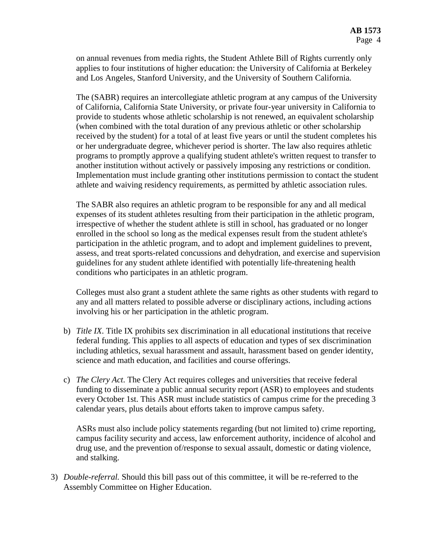on annual revenues from media rights, the Student Athlete Bill of Rights currently only applies to four institutions of higher education: the University of California at Berkeley and Los Angeles, Stanford University, and the University of Southern California.

The (SABR) requires an intercollegiate athletic program at any campus of the University of California, California State University, or private four-year university in California to provide to students whose athletic scholarship is not renewed, an equivalent scholarship (when combined with the total duration of any previous athletic or other scholarship received by the student) for a total of at least five years or until the student completes his or her undergraduate degree, whichever period is shorter. The law also requires athletic programs to promptly approve a qualifying student athlete's written request to transfer to another institution without actively or passively imposing any restrictions or condition. Implementation must include granting other institutions permission to contact the student athlete and waiving residency requirements, as permitted by athletic association rules.

The SABR also requires an athletic program to be responsible for any and all medical expenses of its student athletes resulting from their participation in the athletic program, irrespective of whether the student athlete is still in school, has graduated or no longer enrolled in the school so long as the medical expenses result from the student athlete's participation in the athletic program, and to adopt and implement guidelines to prevent, assess, and treat sports-related concussions and dehydration, and exercise and supervision guidelines for any student athlete identified with potentially life-threatening health conditions who participates in an athletic program.

Colleges must also grant a student athlete the same rights as other students with regard to any and all matters related to possible adverse or disciplinary actions, including actions involving his or her participation in the athletic program.

- b) *Title IX*. Title IX prohibits sex discrimination in all educational institutions that receive federal funding. This applies to all aspects of education and types of sex discrimination including athletics, sexual harassment and assault, harassment based on gender identity, science and math education, and facilities and course offerings.
- c) *The Clery Act*. The Clery Act requires colleges and universities that receive federal funding to disseminate a public annual security report (ASR) to employees and students every October 1st. This ASR must include statistics of campus crime for the preceding 3 calendar years, plus details about efforts taken to improve campus safety.

ASRs must also include policy statements regarding (but not limited to) crime reporting, campus facility security and access, law enforcement authority, incidence of alcohol and drug use, and the prevention of/response to sexual assault, domestic or dating violence, and stalking.

3) *Double-referral.* Should this bill pass out of this committee, it will be re-referred to the Assembly Committee on Higher Education.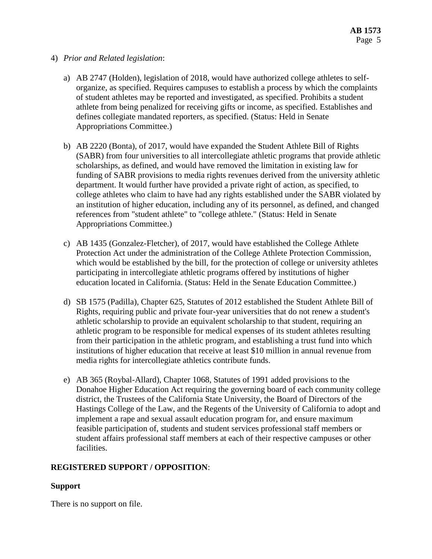- 4) *Prior and Related legislation*:
	- a) AB 2747 (Holden), legislation of 2018, would have authorized college athletes to selforganize, as specified. Requires campuses to establish a process by which the complaints of student athletes may be reported and investigated, as specified. Prohibits a student athlete from being penalized for receiving gifts or income, as specified. Establishes and defines collegiate mandated reporters, as specified. (Status: Held in Senate Appropriations Committee.)
	- b) AB 2220 (Bonta), of 2017, would have expanded the Student Athlete Bill of Rights (SABR) from four universities to all intercollegiate athletic programs that provide athletic scholarships, as defined, and would have removed the limitation in existing law for funding of SABR provisions to media rights revenues derived from the university athletic department. It would further have provided a private right of action, as specified, to college athletes who claim to have had any rights established under the SABR violated by an institution of higher education, including any of its personnel, as defined, and changed references from "student athlete" to "college athlete." (Status: Held in Senate Appropriations Committee.)
	- c) AB 1435 (Gonzalez-Fletcher), of 2017, would have established the College Athlete Protection Act under the administration of the College Athlete Protection Commission, which would be established by the bill, for the protection of college or university athletes participating in intercollegiate athletic programs offered by institutions of higher education located in California. (Status: Held in the Senate Education Committee.)
	- d) SB 1575 (Padilla), Chapter 625, Statutes of 2012 established the Student Athlete Bill of Rights, requiring public and private four-year universities that do not renew a student's athletic scholarship to provide an equivalent scholarship to that student, requiring an athletic program to be responsible for medical expenses of its student athletes resulting from their participation in the athletic program, and establishing a trust fund into which institutions of higher education that receive at least \$10 million in annual revenue from media rights for intercollegiate athletics contribute funds.
	- e) AB 365 (Roybal-Allard), Chapter 1068, Statutes of 1991 added provisions to the Donahoe Higher Education Act requiring the governing board of each community college district, the Trustees of the California State University, the Board of Directors of the Hastings College of the Law, and the Regents of the University of California to adopt and implement a rape and sexual assault education program for, and ensure maximum feasible participation of, students and student services professional staff members or student affairs professional staff members at each of their respective campuses or other facilities.

#### **REGISTERED SUPPORT / OPPOSITION**:

#### **Support**

There is no support on file.